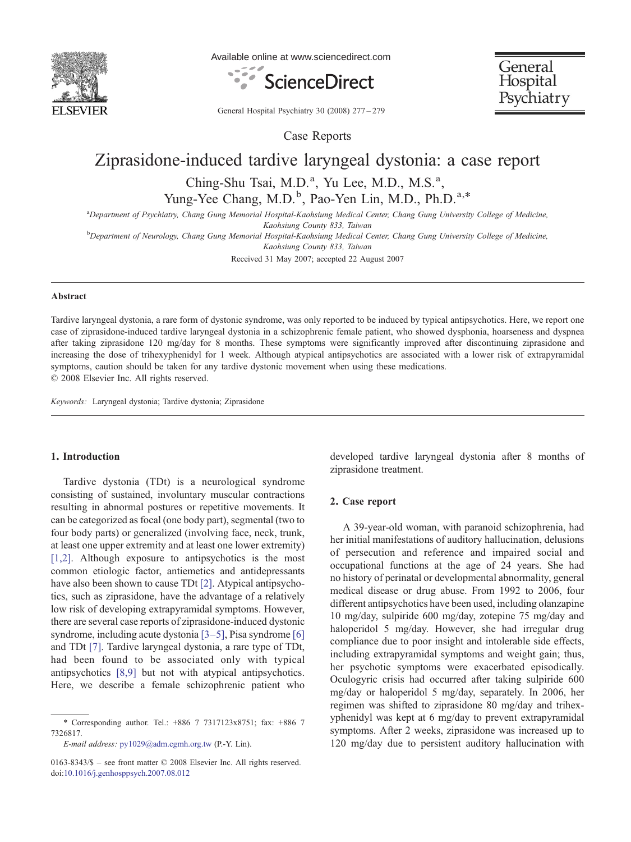

Available online at www.sciencedirect.com



General Hospital Psychiatry

General Hospital Psychiatry 30 (2008) 277–279

Case Reports

# Ziprasidone-induced tardive laryngeal dystonia: a case report

Ching-Shu Tsai, M.D.<sup>a</sup>, Yu Lee, M.D., M.S.<sup>a</sup>,

Yung-Yee Chang, M.D.<sup>b</sup>, Pao-Yen Lin, M.D., Ph.D.<sup>a,\*</sup>

a Department of Psychiatry, Chang Gung Memorial Hospital-Kaohsiung Medical Center, Chang Gung University College of Medicine, Kaohsiung County 833, Taiwan<br><sup>b</sup>Department of Neurology, Chang Gung Memorial Hospital-Kaohsiung Medical Center, Chang Gung University College of Medicine,

Kaohsiung County 833, Taiwan

Received 31 May 2007; accepted 22 August 2007

#### Abstract

Tardive laryngeal dystonia, a rare form of dystonic syndrome, was only reported to be induced by typical antipsychotics. Here, we report one case of ziprasidone-induced tardive laryngeal dystonia in a schizophrenic female patient, who showed dysphonia, hoarseness and dyspnea after taking ziprasidone 120 mg/day for 8 months. These symptoms were significantly improved after discontinuing ziprasidone and increasing the dose of trihexyphenidyl for 1 week. Although atypical antipsychotics are associated with a lower risk of extrapyramidal symptoms, caution should be taken for any tardive dystonic movement when using these medications. © 2008 Elsevier Inc. All rights reserved.

Keywords: Laryngeal dystonia; Tardive dystonia; Ziprasidone

### 1. Introduction

Tardive dystonia (TDt) is a neurological syndrome consisting of sustained, involuntary muscular contractions resulting in abnormal postures or repetitive movements. It can be categorized as focal (one body part), segmental (two to four body parts) or generalized (involving face, neck, trunk, at least one upper extremity and at least one lower extremity) [\[1,2\].](#page-1-0) Although exposure to antipsychotics is the most common etiologic factor, antiemetics and antidepressants have also been shown to cause TDt [\[2\].](#page-1-0) Atypical antipsychotics, such as ziprasidone, have the advantage of a relatively low risk of developing extrapyramidal symptoms. However, there are several case reports of ziprasidone-induced dystonic syndrome, including acute dystonia [3–[5\],](#page-1-0) Pisa syndrome [\[6\]](#page-1-0) and TDt [\[7\]](#page-1-0). Tardive laryngeal dystonia, a rare type of TDt, had been found to be associated only with typical antipsychotics [\[8,9\]](#page-1-0) but not with atypical antipsychotics. Here, we describe a female schizophrenic patient who

E-mail address: py1029@adm.cgmh.org.tw (P.-Y. Lin).

developed tardive laryngeal dystonia after 8 months of ziprasidone treatment.

## 2. Case report

A 39-year-old woman, with paranoid schizophrenia, had her initial manifestations of auditory hallucination, delusions of persecution and reference and impaired social and occupational functions at the age of 24 years. She had no history of perinatal or developmental abnormality, general medical disease or drug abuse. From 1992 to 2006, four different antipsychotics have been used, including olanzapine 10 mg/day, sulpiride 600 mg/day, zotepine 75 mg/day and haloperidol 5 mg/day. However, she had irregular drug compliance due to poor insight and intolerable side effects, including extrapyramidal symptoms and weight gain; thus, her psychotic symptoms were exacerbated episodically. Oculogyric crisis had occurred after taking sulpiride 600 mg/day or haloperidol 5 mg/day, separately. In 2006, her regimen was shifted to ziprasidone 80 mg/day and trihexyphenidyl was kept at 6 mg/day to prevent extrapyramidal symptoms. After 2 weeks, ziprasidone was increased up to 120 mg/day due to persistent auditory hallucination with

<sup>⁎</sup> Corresponding author. Tel.: +886 7 7317123x8751; fax: +886 7 7326817.

<sup>0163-8343/\$</sup> – see front matter © 2008 Elsevier Inc. All rights reserved. doi[:10.1016/j.genhosppsych.2007.08.012](http://dx.doi.org/10.1016/j.genhosppsych.2007.08.012)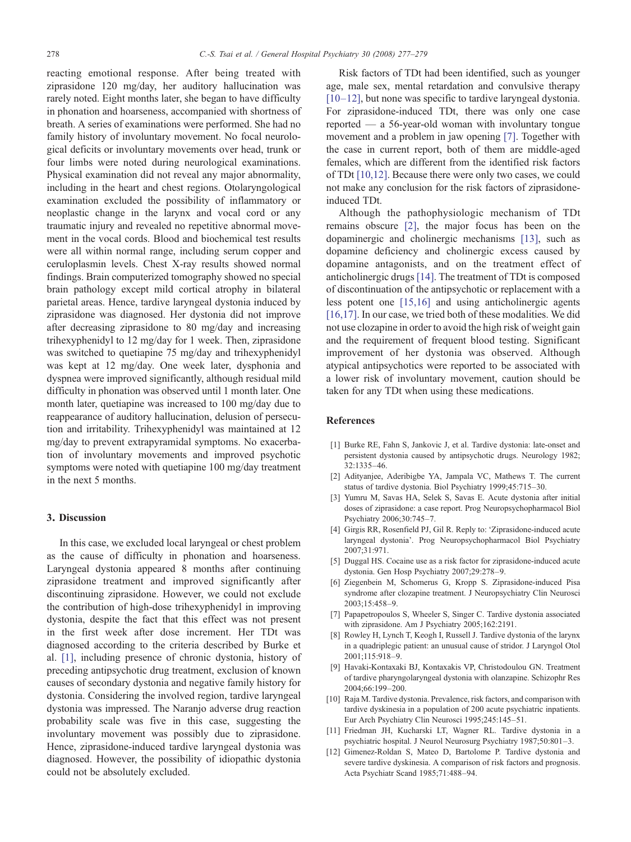<span id="page-1-0"></span>reacting emotional response. After being treated with ziprasidone 120 mg/day, her auditory hallucination was rarely noted. Eight months later, she began to have difficulty in phonation and hoarseness, accompanied with shortness of breath. A series of examinations were performed. She had no family history of involuntary movement. No focal neurological deficits or involuntary movements over head, trunk or four limbs were noted during neurological examinations. Physical examination did not reveal any major abnormality, including in the heart and chest regions. Otolaryngological examination excluded the possibility of inflammatory or neoplastic change in the larynx and vocal cord or any traumatic injury and revealed no repetitive abnormal movement in the vocal cords. Blood and biochemical test results were all within normal range, including serum copper and ceruloplasmin levels. Chest X-ray results showed normal findings. Brain computerized tomography showed no special brain pathology except mild cortical atrophy in bilateral parietal areas. Hence, tardive laryngeal dystonia induced by ziprasidone was diagnosed. Her dystonia did not improve after decreasing ziprasidone to 80 mg/day and increasing trihexyphenidyl to 12 mg/day for 1 week. Then, ziprasidone was switched to quetiapine 75 mg/day and trihexyphenidyl was kept at 12 mg/day. One week later, dysphonia and dyspnea were improved significantly, although residual mild difficulty in phonation was observed until 1 month later. One month later, quetiapine was increased to 100 mg/day due to reappearance of auditory hallucination, delusion of persecution and irritability. Trihexyphenidyl was maintained at 12 mg/day to prevent extrapyramidal symptoms. No exacerbation of involuntary movements and improved psychotic symptoms were noted with quetiapine 100 mg/day treatment in the next 5 months.

#### 3. Discussion

In this case, we excluded local laryngeal or chest problem as the cause of difficulty in phonation and hoarseness. Laryngeal dystonia appeared 8 months after continuing ziprasidone treatment and improved significantly after discontinuing ziprasidone. However, we could not exclude the contribution of high-dose trihexyphenidyl in improving dystonia, despite the fact that this effect was not present in the first week after dose increment. Her TDt was diagnosed according to the criteria described by Burke et al. [1], including presence of chronic dystonia, history of preceding antipsychotic drug treatment, exclusion of known causes of secondary dystonia and negative family history for dystonia. Considering the involved region, tardive laryngeal dystonia was impressed. The Naranjo adverse drug reaction probability scale was five in this case, suggesting the involuntary movement was possibly due to ziprasidone. Hence, ziprasidone-induced tardive laryngeal dystonia was diagnosed. However, the possibility of idiopathic dystonia could not be absolutely excluded.

Risk factors of TDt had been identified, such as younger age, male sex, mental retardation and convulsive therapy [10–12], but none was specific to tardive laryngeal dystonia. For ziprasidone-induced TDt, there was only one case reported — a 56-year-old woman with involuntary tongue movement and a problem in jaw opening [7]. Together with the case in current report, both of them are middle-aged females, which are different from the identified risk factors of TDt [10,12]. Because there were only two cases, we could not make any conclusion for the risk factors of ziprasidoneinduced TDt.

Although the pathophysiologic mechanism of TDt remains obscure [2], the major focus has been on the dopaminergic and cholinergic mechanisms [\[13\],](#page-2-0) such as dopamine deficiency and cholinergic excess caused by dopamine antagonists, and on the treatment effect of anticholinergic drugs [\[14\].](#page-2-0) The treatment of TDt is composed of discontinuation of the antipsychotic or replacement with a less potent one [\[15,16\]](#page-2-0) and using anticholinergic agents [\[16,17\].](#page-2-0) In our case, we tried both of these modalities. We did not use clozapine in order to avoid the high risk of weight gain and the requirement of frequent blood testing. Significant improvement of her dystonia was observed. Although atypical antipsychotics were reported to be associated with a lower risk of involuntary movement, caution should be taken for any TDt when using these medications.

## References

- [1] Burke RE, Fahn S, Jankovic J, et al. Tardive dystonia: late-onset and persistent dystonia caused by antipsychotic drugs. Neurology 1982; 32:1335–46.
- [2] Adityanjee, Aderibigbe YA, Jampala VC, Mathews T. The current status of tardive dystonia. Biol Psychiatry 1999;45:715–30.
- [3] Yumru M, Savas HA, Selek S, Savas E. Acute dystonia after initial doses of ziprasidone: a case report. Prog Neuropsychopharmacol Biol Psychiatry 2006;30:745–7.
- [4] Girgis RR, Rosenfield PJ, Gil R. Reply to: 'Ziprasidone-induced acute laryngeal dystonia'. Prog Neuropsychopharmacol Biol Psychiatry 2007;31:971.
- [5] Duggal HS. Cocaine use as a risk factor for ziprasidone-induced acute dystonia. Gen Hosp Psychiatry 2007;29:278–9.
- Ziegenbein M, Schomerus G, Kropp S. Ziprasidone-induced Pisa syndrome after clozapine treatment. J Neuropsychiatry Clin Neurosci 2003;15:458–9.
- [7] Papapetropoulos S, Wheeler S, Singer C. Tardive dystonia associated with ziprasidone. Am J Psychiatry 2005;162:2191.
- [8] Rowley H, Lynch T, Keogh I, Russell J. Tardive dystonia of the larynx in a quadriplegic patient: an unusual cause of stridor. J Laryngol Otol 2001;115:918–9.
- [9] Havaki-Kontaxaki BJ, Kontaxakis VP, Christodoulou GN. Treatment of tardive pharyngolaryngeal dystonia with olanzapine. Schizophr Res 2004;66:199–200.
- [10] Raja M. Tardive dystonia. Prevalence, risk factors, and comparison with tardive dyskinesia in a population of 200 acute psychiatric inpatients. Eur Arch Psychiatry Clin Neurosci 1995;245:145–51.
- [11] Friedman JH, Kucharski LT, Wagner RL. Tardive dystonia in a psychiatric hospital. J Neurol Neurosurg Psychiatry 1987;50:801–3.
- [12] Gimenez-Roldan S, Mateo D, Bartolome P. Tardive dystonia and severe tardive dyskinesia. A comparison of risk factors and prognosis. Acta Psychiatr Scand 1985;71:488–94.